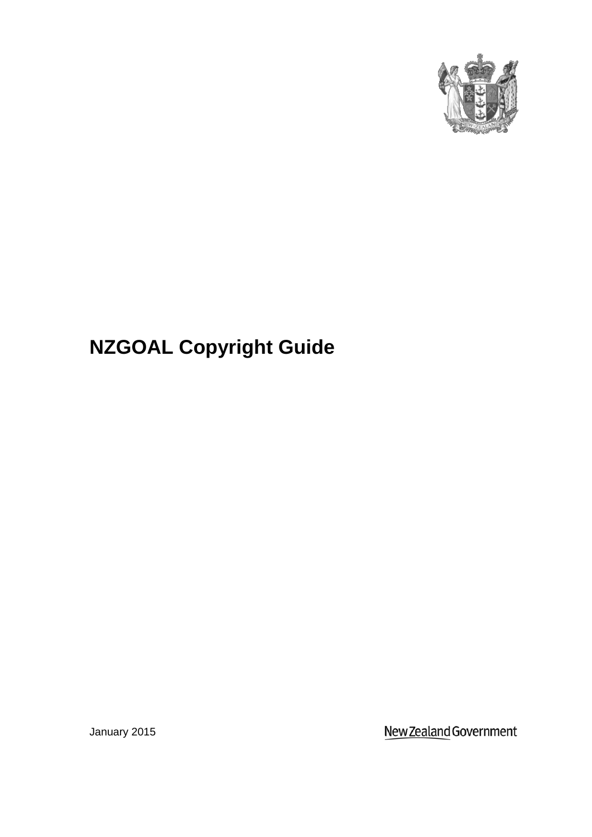

# **NZGOAL Copyright Guide**

January 2015

New Zealand Government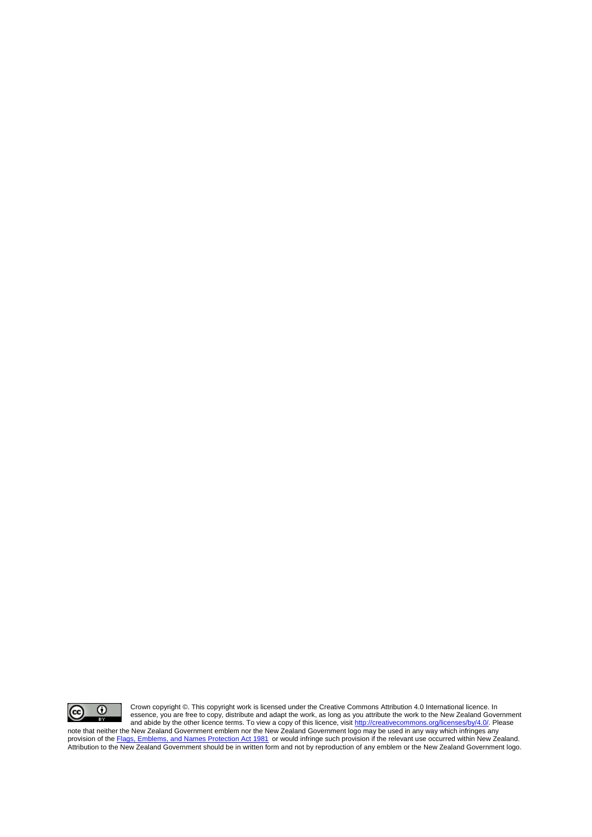

Crown copyright ©. This copyright work is licensed under the Creative Commons Attribution 4.0 International licence. In essence, you are free to copy, distribute and adapt the work, as long as you attribute the work to the New Zealand Government and abide by the other licence terms. To view a copy of this licence, visit [http://creativecommons.org/licenses/by/4.0/.](http://creativecommons.org/licenses/by/4.0/) Please

note that neither the New Zealand Government emblem nor the New Zealand Government logo may be used in any way which infringes any provision of th[e Flags, Emblems, and Names Protection Act 1981](http://www.legislation.govt.nz/act/public/1981/0047/latest/whole.html#dlm52216)</u> or would infringe such provision if the relevant use occurred within New Zealand. Attribution to the New Zealand Government should be in written form and not by reproduction of any emblem or the New Zealand Government logo.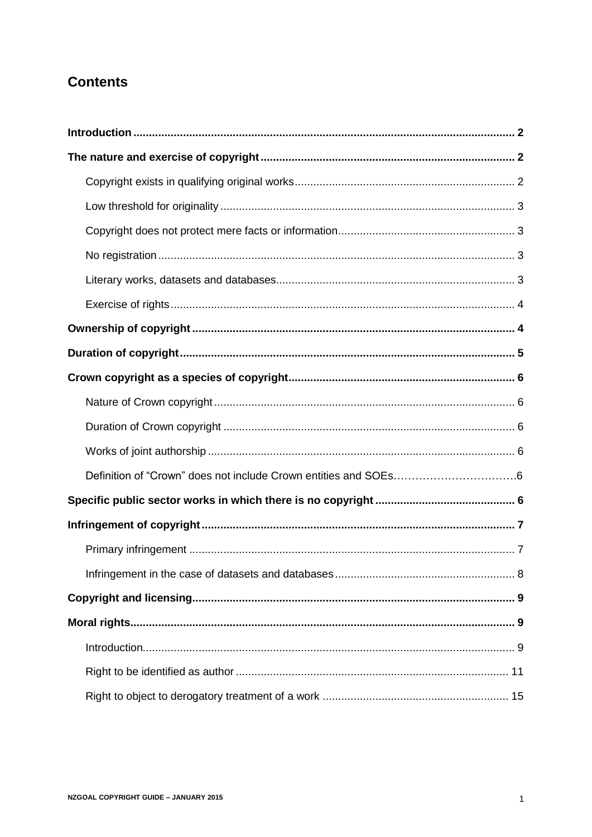# <span id="page-2-0"></span>**Contents**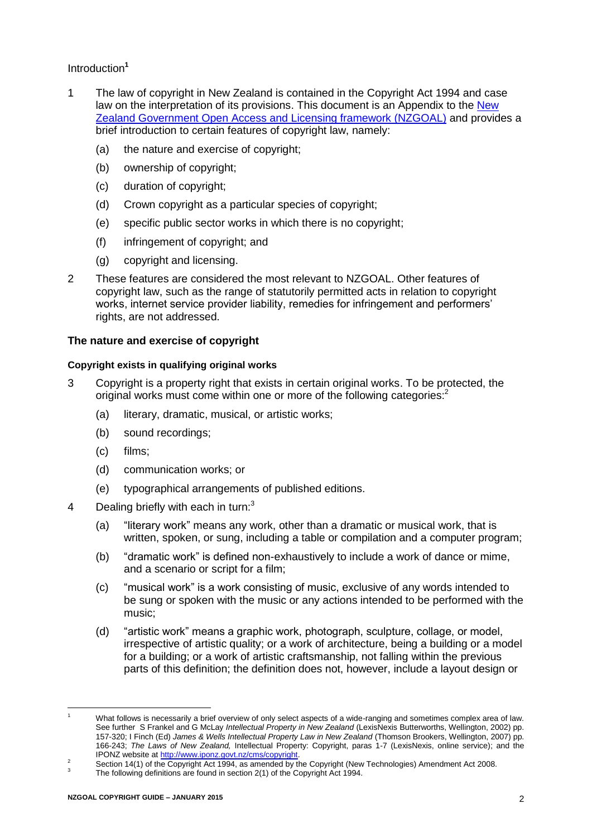# <span id="page-3-0"></span>Introduction**<sup>1</sup>**

- 1 The law of copyright in New Zealand is contained in the [Copyright Act 1994](http://www.lexisnexis.com/nz/legal/search/runRemoteLink.do?bct=A&risb=21_T5273384443&homeCsi=274495&A=0.6777120612411762&urlEnc=ISO-8859-1&&dpsi=0069&remotekey1=REFPTID&refpt=1994A143&service=DOC-ID&origdpsi=008E) and case law on the interpretation of its provisions. This document is an Appendix to the [New](https://ict.govt.nz/guidance-and-resources/open-government/new-zealand-government-open-access-and-licensing-nzgoal-framework/)  [Zealand Government Open Access and Licensing framework \(NZGOAL\)](https://ict.govt.nz/guidance-and-resources/open-government/new-zealand-government-open-access-and-licensing-nzgoal-framework/) and provides a brief introduction to certain features of copyright law, namely:
	- (a) the nature and exercise of copyright;
	- (b) ownership of copyright;
	- (c) duration of copyright;
	- (d) Crown copyright as a particular species of copyright;
	- (e) specific public sector works in which there is no copyright;
	- (f) infringement of copyright; and
	- (g) copyright and licensing.
- 2 These features are considered the most relevant to NZGOAL. Other features of copyright law, such as the range of statutorily permitted acts in relation to copyright works, internet service provider liability, remedies for infringement and performers' rights, are not addressed.

# <span id="page-3-1"></span>**The nature and exercise of copyright**

# <span id="page-3-2"></span>**Copyright exists in qualifying original works**

- 3 Copyright is a property right that exists in certain original works. To be protected, the original works must come within one or more of the following categories:<sup>2</sup>
	- (a) literary, dramatic, musical, or artistic works;
	- (b) sound recordings;
	- (c) films;
	- (d) communication works; or
	- (e) typographical arrangements of published editions.
- 4 Dealing briefly with each in turn:<sup>3</sup>
	- (a) "literary work" means any work, other than a dramatic or musical work, that is written, spoken, or sung, including a table or compilation and a computer program;
	- (b) "dramatic work" is defined non-exhaustively to include a work of dance or mime, and a scenario or script for a film;
	- (c) "musical work" is a work consisting of music, exclusive of any words intended to be sung or spoken with the music or any actions intended to be performed with the music;
	- (d) "artistic work" means a graphic work, photograph, sculpture, collage, or model, irrespective of artistic quality; or a work of architecture, being a building or a model for a building; or a work of artistic craftsmanship, not falling within the previous parts of this definition; the definition does not, however, include a layout design or

 $\overline{a}$ 

What follows is necessarily a brief overview of only select aspects of a wide-ranging and sometimes complex area of law. See further S Frankel and G McLay *Intellectual Property in New Zealand* (LexisNexis Butterworths, Wellington, 2002) pp. 157-320; I Finch (Ed) *James & Wells Intellectual Property Law in New Zealand* (Thomson Brookers, Wellington, 2007) pp. 166-243; *The Laws of New Zealand,* Intellectual Property: Copyright, paras 1-7 (LexisNexis, online service); and the IPONZ website a[t http://www.iponz.govt.nz/cms/copyright.](http://www.iponz.govt.nz/cms/copyright)

<sup>2</sup> Section 14(1) of the Copyright Act 1994, as amended by the Copyright (New Technologies) Amendment Act 2008.

<sup>3</sup> The following definitions are found in section 2(1) of the Copyright Act 1994.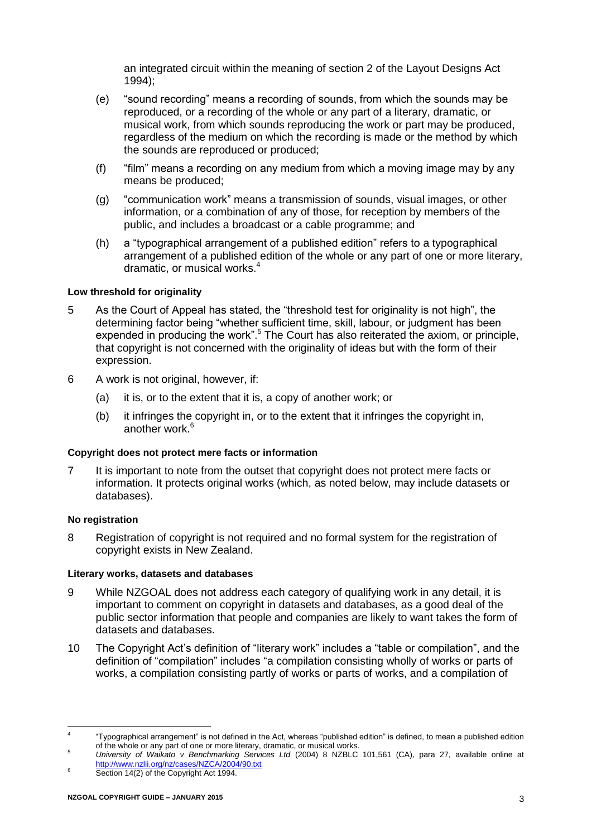an integrated circuit within the meaning of section 2 of the Layout Designs Act 1994);

- (e) "sound recording" means a recording of sounds, from which the sounds may be reproduced, or a recording of the whole or any part of a literary, dramatic, or musical work, from which sounds reproducing the work or part may be produced, regardless of the medium on which the recording is made or the method by which the sounds are reproduced or produced;
- (f) "film" means a recording on any medium from which a moving image may by any means be produced;
- (g) "communication work" means a transmission of sounds, visual images, or other information, or a combination of any of those, for reception by members of the public, and includes a broadcast or a cable programme; and
- <span id="page-4-4"></span>(h) a "typographical arrangement of a published edition" refers to a typographical arrangement of a published edition of the whole or any part of one or more literary, dramatic, or musical works.<sup>4</sup>

# <span id="page-4-0"></span>**Low threshold for originality**

- 5 As the Court of Appeal has stated, the "threshold test for originality is not high", the determining factor being "whether sufficient time, skill, labour, or judgment has been expended in producing the work".<sup>5</sup> The Court has also reiterated the axiom, or principle, that copyright is not concerned with the originality of ideas but with the form of their expression.
- 6 A work is not original, however, if:
	- (a) it is, or to the extent that it is, a copy of another work; or
	- (b) it infringes the copyright in, or to the extent that it infringes the copyright in, another work  $6$

#### <span id="page-4-1"></span>**Copyright does not protect mere facts or information**

7 It is important to note from the outset that copyright does not protect mere facts or information. It protects original works (which, as noted below, may include datasets or databases).

#### <span id="page-4-2"></span>**No registration**

 $\overline{a}$ 

8 Registration of copyright is not required and no formal system for the registration of copyright exists in New Zealand.

#### <span id="page-4-3"></span>**Literary works, datasets and databases**

- <span id="page-4-5"></span>9 While NZGOAL does not address each category of qualifying work in any detail, it is important to comment on copyright in datasets and databases, as a good deal of the public sector information that people and companies are likely to want takes the form of datasets and databases.
- 10 The Copyright Act's definition of "literary work" includes a "table or compilation", and the definition of "compilation" includes "a compilation consisting wholly of works or parts of works, a compilation consisting partly of works or parts of works, and a compilation of

<sup>4</sup> "Typographical arrangement" is not defined in the Act, whereas "published edition" is defined, to mean a published edition of the whole or any part of one or more literary, dramatic, or musical works.

<sup>5</sup> *University of Waikato v Benchmarking Services Ltd* (2004) 8 NZBLC 101,561 (CA), para 27, available online at <http://www.nzlii.org/nz/cases/NZCA/2004/90.txt>

Section 14(2) of the Copyright Act 1994.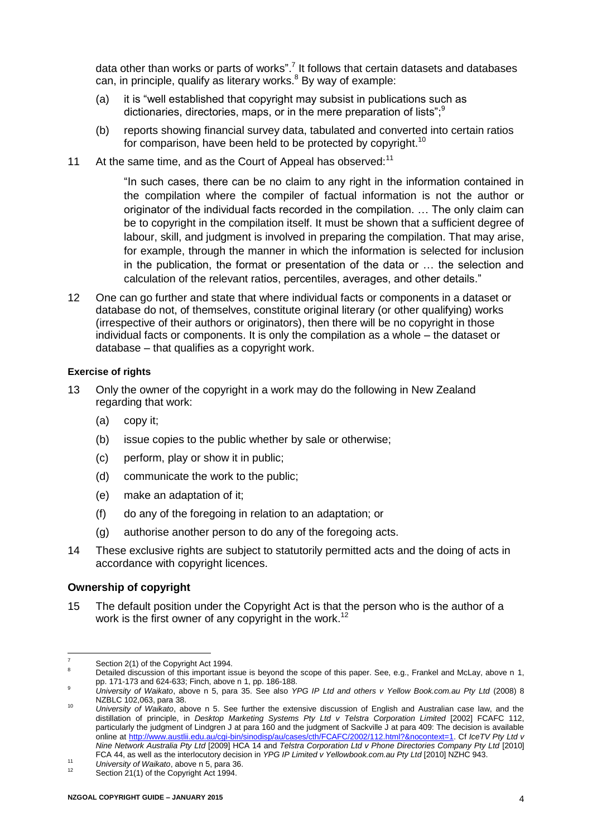data other than works or parts of works".<sup>7</sup> It follows that certain datasets and databases can, in principle, qualify as literary works. $8$  By way of example:

- (a) it is "well established that copyright may subsist in publications such as dictionaries, directories, maps, or in the mere preparation of lists";<sup>9</sup>
- (b) reports showing financial survey data, tabulated and converted into certain ratios for comparison, have been held to be protected by copyright.<sup>10</sup>
- 11 At the same time, and as the Court of Appeal has observed:<sup>11</sup>

"In such cases, there can be no claim to any right in the information contained in the compilation where the compiler of factual information is not the author or originator of the individual facts recorded in the compilation. … The only claim can be to copyright in the compilation itself. It must be shown that a sufficient degree of labour, skill, and judgment is involved in preparing the compilation. That may arise, for example, through the manner in which the information is selected for inclusion in the publication, the format or presentation of the data or … the selection and calculation of the relevant ratios, percentiles, averages, and other details."

<span id="page-5-2"></span>12 One can go further and state that where individual facts or components in a dataset or database do not, of themselves, constitute original literary (or other qualifying) works (irrespective of their authors or originators), then there will be no copyright in those individual facts or components. It is only the compilation as a whole – the dataset or database – that qualifies as a copyright work.

#### <span id="page-5-0"></span>**Exercise of rights**

- 13 Only the owner of the copyright in a work may do the following in New Zealand regarding that work:
	- (a) copy it;
	- (b) issue copies to the public whether by sale or otherwise;
	- (c) perform, play or show it in public;
	- (d) communicate the work to the public;
	- (e) make an adaptation of it;
	- (f) do any of the foregoing in relation to an adaptation; or
	- (g) authorise another person to do any of the foregoing acts.
- 14 These exclusive rights are subject to statutorily permitted acts and the doing of acts in accordance with copyright licences.

#### <span id="page-5-1"></span>**Ownership of copyright**

15 The default position under the Copyright Act is that the person who is the author of a work is the first owner of any copyright in the work.<sup>12</sup>

 $\overline{a}$ Section 2(1) of the Copyright Act 1994.

Detailed discussion of this important issue is beyond the scope of this paper. See, e.g., Frankel and McLay, above n [1,](#page-2-0) pp. 171-173 and 624-633; Finch, above [n 1,](#page-2-0) pp. 186-188.

<sup>9</sup> *University of Waikato*, above n [5,](#page-4-4) para 35. See also *YPG IP Ltd and others v Yellow Book.com.au Pty Ltd* (2008) 8 NZBLC 102,063, para 38.

<sup>10</sup> *University of Waikato*, above n [5.](#page-4-4) See further the extensive discussion of English and Australian case law, and the distillation of principle, in *Desktop Marketing Systems Pty Ltd v Telstra Corporation Limited* [2002] FCAFC 112, particularly the judgment of Lindgren J at para 160 and the judgment of Sackville J at para 409: The decision is available online a[t http://www.austlii.edu.au/cgi-bin/sinodisp/au/cases/cth/FCAFC/2002/112.html?&nocontext=1.](http://www.austlii.edu.au/cgi-bin/sinodisp/au/cases/cth/FCAFC/2002/112.html?&nocontext=1) Cf *IceTV Pty Ltd v Nine Network Australia Pty Ltd* [2009] HCA 14 and *Telstra Corporation Ltd v Phone Directories Company Pty Ltd* [\[2010\]](http://www.austlii.edu.au/au/cases/cth/federal_ct/2010/44.html) 

[FCA 44,](http://www.austlii.edu.au/au/cases/cth/federal_ct/2010/44.html) as well as the interlocutory decision in *YPG IP Limited v Yellowbook.com.au Pty Ltd* [2010] NZHC 943.

<sup>11</sup> *University of Waikato*, above [n 5,](#page-4-4) para 36.

Section 21(1) of the Copyright Act 1994.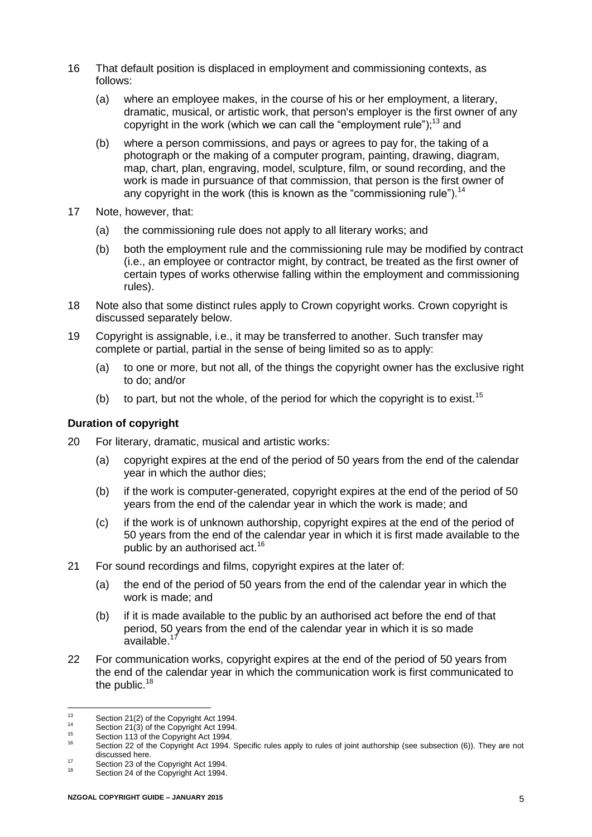- 16 That default position is displaced in employment and commissioning contexts, as follows:
	- (a) where an employee makes, in the course of his or her employment, a literary, dramatic, musical, or artistic work, that person's employer is the first owner of any copyright in the work (which we can call the "employment rule");<sup>13</sup> and
	- (b) where a person commissions, and pays or agrees to pay for, the taking of a photograph or the making of a computer program, painting, drawing, diagram, map, chart, plan, engraving, model, sculpture, film, or sound recording, and the work is made in pursuance of that commission, that person is the first owner of any copyright in the work (this is known as the "commissioning rule").<sup>14</sup>
- 17 Note, however, that:
	- (a) the commissioning rule does not apply to all literary works; and
	- (b) both the employment rule and the commissioning rule may be modified by contract (i.e., an employee or contractor might, by contract, be treated as the first owner of certain types of works otherwise falling within the employment and commissioning rules).
- 18 Note also that some distinct rules apply to Crown copyright works. Crown copyright is discussed separately below.
- 19 Copyright is assignable, i.e., it may be transferred to another. Such transfer may complete or partial, partial in the sense of being limited so as to apply:
	- (a) to one or more, but not all, of the things the copyright owner has the exclusive right to do; and/or
	- (b) to part, but not the whole, of the period for which the copyright is to exist.<sup>15</sup>

# <span id="page-6-0"></span>**Duration of copyright**

- 20 For literary, dramatic, musical and artistic works:
	- (a) copyright expires at the end of the period of 50 years from the end of the calendar year in which the author dies;
	- (b) if the work is computer-generated, copyright expires at the end of the period of 50 years from the end of the calendar year in which the work is made; and
	- (c) if the work is of unknown authorship, copyright expires at the end of the period of 50 years from the end of the calendar year in which it is first made available to the public by an authorised act.<sup>16</sup>
- 21 For sound recordings and films, copyright expires at the later of:
	- (a) the end of the period of 50 years from the end of the calendar year in which the work is made; and
	- (b) if it is made available to the public by an authorised act before the end of that period, 50 years from the end of the calendar year in which it is so made available.<sup>17</sup>
- 22 For communication works, copyright expires at the end of the period of 50 years from the end of the calendar year in which the communication work is first communicated to the public.<sup>18</sup>

 $13 \frac{1}{2}$  $13$  Section 21(2) of the Copyright Act 1994.

<sup>&</sup>lt;sup>14</sup> Section 21(3) of the Copyright Act 1994.

 $^{15}$  Section 113 of the Copyright Act 1994.

Section 22 of the Copyright Act 1994. Specific rules apply to rules of joint authorship (see subsection (6)). They are not discussed here.

<sup>17</sup> Section 23 of the Copyright Act 1994.

Section 24 of the Copyright Act 1994.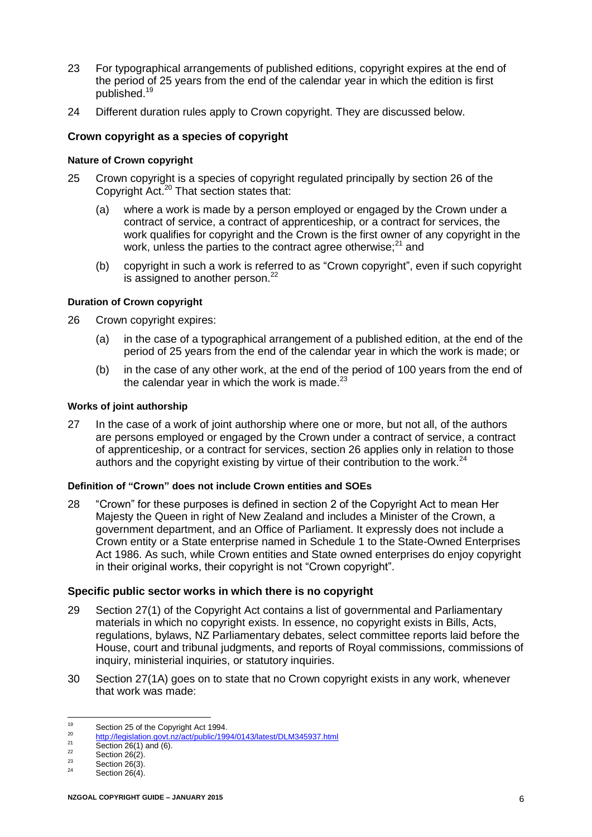- 23 For typographical arrangements of published editions, copyright expires at the end of the period of 25 years from the end of the calendar year in which the edition is first published.<sup>19</sup>
- 24 Different duration rules apply to Crown copyright. They are discussed below.

# <span id="page-7-0"></span>**Crown copyright as a species of copyright**

## <span id="page-7-1"></span>**Nature of Crown copyright**

- 25 Crown copyright is a species of copyright regulated principally by section 26 of the Copyright Act.<sup>20</sup> That section states that:
	- (a) where a work is made by a person employed or engaged by the Crown under a contract of service, a contract of apprenticeship, or a contract for services, the work qualifies for copyright and the Crown is the first owner of any copyright in the work, unless the parties to the contract agree otherwise; $^{21}$  and
	- (b) copyright in such a work is referred to as "Crown copyright", even if such copyright is assigned to another person.<sup>22</sup>

# <span id="page-7-2"></span>**Duration of Crown copyright**

- 26 Crown copyright expires:
	- (a) in the case of a typographical arrangement of a published edition, at the end of the period of 25 years from the end of the calendar year in which the work is made; or
	- (b) in the case of any other work, at the end of the period of 100 years from the end of the calendar year in which the work is made. $^{23}$

#### <span id="page-7-3"></span>**Works of joint authorship**

27 In the case of a work of joint authorship where one or more, but not all, of the authors are persons employed or engaged by the Crown under a contract of service, a contract of apprenticeship, or a contract for services, section 26 applies only in relation to those authors and the copyright existing by virtue of their contribution to the work. $^{24}$ 

#### **Definition of "Crown" does not include Crown entities and SOEs**

28 "Crown" for these purposes is defined in section 2 of the Copyright Act to mean Her Majesty the Queen in right of New Zealand and includes a Minister of the Crown, a government department, and an Office of Parliament. It expressly does not include a Crown entity or a State enterprise named in Schedule 1 to the State-Owned Enterprises Act 1986. As such, while Crown entities and State owned enterprises do enjoy copyright in their original works, their copyright is not "Crown copyright".

#### <span id="page-7-4"></span>**Specific public sector works in which there is no copyright**

- <span id="page-7-5"></span>29 Section 27(1) of the Copyright Act contains a list of governmental and Parliamentary materials in which no copyright exists. In essence, no copyright exists in Bills, Acts, regulations, bylaws, NZ Parliamentary debates, select committee reports laid before the House, court and tribunal judgments, and reports of Royal commissions, commissions of inquiry, ministerial inquiries, or statutory inquiries.
- 30 Section 27(1A) goes on to state that no Crown copyright exists in any work, whenever that work was made:

<sup>19</sup> <sup>19</sup> Section 25 of the Copyright Act 1994.

<sup>&</sup>lt;sup>20</sup> <http://legislation.govt.nz/act/public/1994/0143/latest/DLM345937.html>

 $\frac{21}{22}$  Section 26(1) and (6).

 $\frac{22}{23}$  Section 26(2).

 $\frac{23}{24}$  Section 26(3).

Section  $26(4)$ .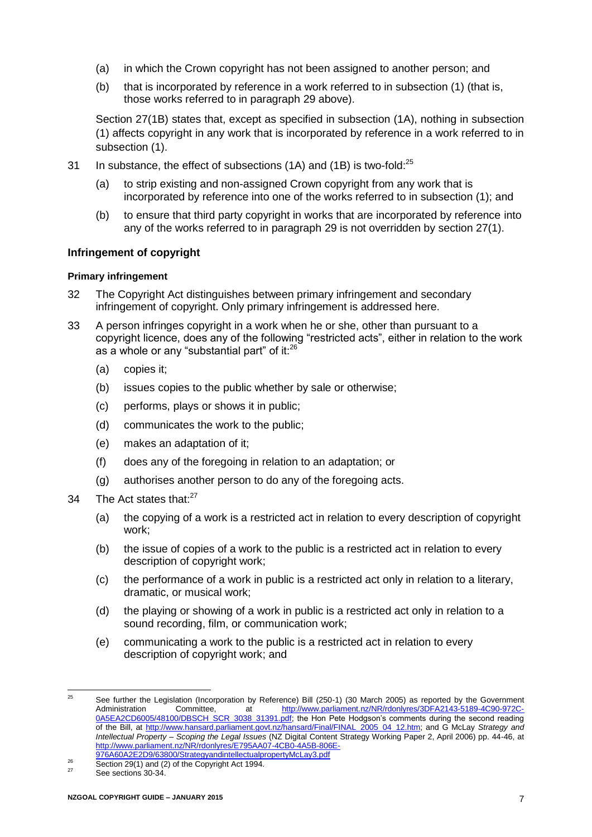- (a) in which the Crown copyright has not been assigned to another person; and
- (b) that is incorporated by reference in a work referred to in subsection (1) (that is, those works referred to in paragraph [29](#page-7-5) above).

Section 27(1B) states that, except as specified in subsection (1A), nothing in subsection (1) affects copyright in any work that is incorporated by reference in a work referred to in subsection (1).

- 31 In substance, the effect of subsections (1A) and (1B) is two-fold:<sup>25</sup>
	- (a) to strip existing and non-assigned Crown copyright from any work that is incorporated by reference into one of the works referred to in subsection (1); and
	- (b) to ensure that third party copyright in works that are incorporated by reference into any of the works referred to in paragraph [29](#page-7-5) is not overridden by section 27(1).

# <span id="page-8-0"></span>**Infringement of copyright**

# <span id="page-8-1"></span>**Primary infringement**

- 32 The Copyright Act distinguishes between primary infringement and secondary infringement of copyright. Only primary infringement is addressed here.
- 33 A person infringes copyright in a work when he or she, other than pursuant to a copyright licence, does any of the following "restricted acts", either in relation to the work as a whole or any "substantial part" of it:<sup>26</sup>
	- (a) copies it;
	- (b) issues copies to the public whether by sale or otherwise;
	- (c) performs, plays or shows it in public;
	- (d) communicates the work to the public;
	- (e) makes an adaptation of it;
	- (f) does any of the foregoing in relation to an adaptation; or
	- (g) authorises another person to do any of the foregoing acts.
- 34 The Act states that:<sup>27</sup>
	- (a) the copying of a work is a restricted act in relation to every description of copyright work;
	- (b) the issue of copies of a work to the public is a restricted act in relation to every description of copyright work;
	- (c) the performance of a work in public is a restricted act only in relation to a literary, dramatic, or musical work;
	- (d) the playing or showing of a work in public is a restricted act only in relation to a sound recording, film, or communication work;
	- (e) communicating a work to the public is a restricted act in relation to every description of copyright work; and

 $25$ 25 See further the Legislation (Incorporation by Reference) Bill (250-1) (30 March 2005) as reported by the Government<br>Administration Committee, at http://www.parliament.nz/NR/rdonlyres/3DFA2143-5189-4C90-972C[http://www.parliament.nz/NR/rdonlyres/3DFA2143-5189-4C90-972C-](http://www.parliament.nz/NR/rdonlyres/3DFA2143-5189-4C90-972C-0A5EA2CD6005/48100/DBSCH_SCR_3038_31391.pdf)[0A5EA2CD6005/48100/DBSCH\\_SCR\\_3038\\_31391.pdf;](http://www.parliament.nz/NR/rdonlyres/3DFA2143-5189-4C90-972C-0A5EA2CD6005/48100/DBSCH_SCR_3038_31391.pdf) the Hon Pete Hodgson's comments during the second reading of the Bill, at [http://www.hansard.parliament.govt.nz/hansard/Final/FINAL\\_2005\\_04\\_12.htm;](http://www.hansard.parliament.govt.nz/hansard/Final/FINAL_2005_04_12.htm) and G McLay *Strategy and Intellectual Property – Scoping the Legal Issues* (NZ Digital Content Strategy Working Paper 2, April 2006) pp. 44-46, at [http://www.parliament.nz/NR/rdonlyres/E795AA07-4CB0-4A5B-806E-](http://www.parliament.nz/NR/rdonlyres/E795AA07-4CB0-4A5B-806E-976A60A2E2D9/63800/StrategyandintellectualpropertyMcLay3.pdf)

[<sup>976</sup>A60A2E2D9/63800/StrategyandintellectualpropertyMcLay3.pdf](http://www.parliament.nz/NR/rdonlyres/E795AA07-4CB0-4A5B-806E-976A60A2E2D9/63800/StrategyandintellectualpropertyMcLay3.pdf) 

 $^{26}$  Section 29(1) and (2) of the Copyright Act 1994.

See sections 30-34.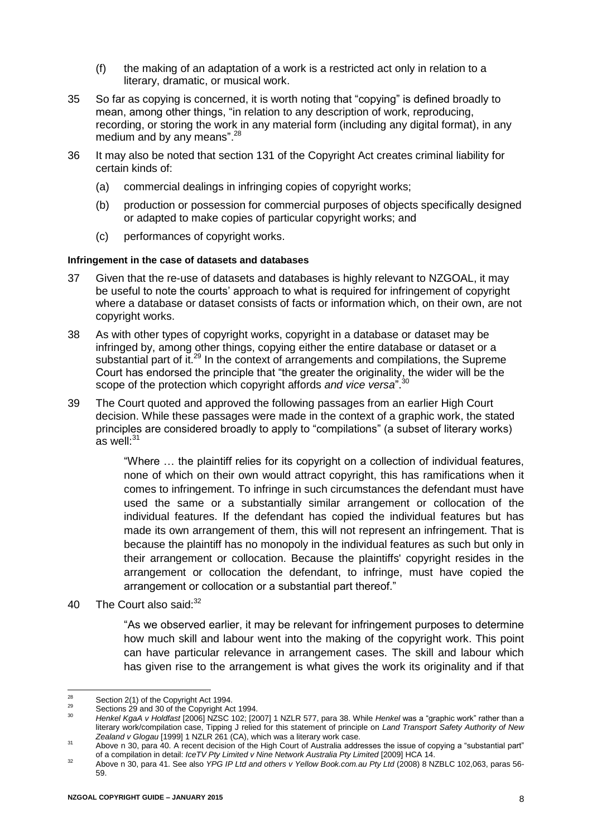- (f) the making of an adaptation of a work is a restricted act only in relation to a literary, dramatic, or musical work.
- 35 So far as copying is concerned, it is worth noting that "copying" is defined broadly to mean, among other things, "in relation to any description of work, reproducing, recording, or storing the work in any material form (including any digital format), in any medium and by any means".<sup>28</sup>
- 36 It may also be noted that section 131 of the Copyright Act creates criminal liability for certain kinds of:
	- (a) commercial dealings in infringing copies of copyright works;
	- (b) production or possession for commercial purposes of objects specifically designed or adapted to make copies of particular copyright works; and
	- (c) performances of copyright works.

#### <span id="page-9-0"></span>**Infringement in the case of datasets and databases**

- 37 Given that the re-use of datasets and databases is highly relevant to NZGOAL, it may be useful to note the courts' approach to what is required for infringement of copyright where a database or dataset consists of facts or information which, on their own, are not copyright works.
- 38 As with other types of copyright works, copyright in a database or dataset may be infringed by, among other things, copying either the entire database or dataset or a substantial part of it.<sup>29</sup> In the context of arrangements and compilations, the Supreme Court has endorsed the principle that "the greater the originality, the wider will be the scope of the protection which copyright affords *and vice versa*".<sup>30</sup>
- 39 The Court quoted and approved the following passages from an earlier High Court decision. While these passages were made in the context of a graphic work, the stated principles are considered broadly to apply to "compilations" (a subset of literary works) as well:<sup>31</sup>

<span id="page-9-1"></span>"Where … the plaintiff relies for its copyright on a collection of individual features, none of which on their own would attract copyright, this has ramifications when it comes to infringement. To infringe in such circumstances the defendant must have used the same or a substantially similar arrangement or collocation of the individual features. If the defendant has copied the individual features but has made its own arrangement of them, this will not represent an infringement. That is because the plaintiff has no monopoly in the individual features as such but only in their arrangement or collocation. Because the plaintiffs' copyright resides in the arrangement or collocation the defendant, to infringe, must have copied the arrangement or collocation or a substantial part thereof."

40 The Court also said: 32

"As we observed earlier, it may be relevant for infringement purposes to determine how much skill and labour went into the making of the copyright work. This point can have particular relevance in arrangement cases. The skill and labour which has given rise to the arrangement is what gives the work its originality and if that

<sup>28</sup> <sup>28</sup> Section 2(1) of the Copyright Act 1994.

<sup>&</sup>lt;sup>29</sup> Sections 29 and 30 of the Copyright Act 1994.

<sup>30</sup> *Henkel KgaA v Holdfast* [2006] NZSC 102; [2007] 1 NZLR 577, para 38. While *Henkel* was a "graphic work" rather than a literary work/compilation case, Tipping J relied for this statement of principle on *Land Transport Safety Authority of New Zealand v Glogau* [1999] 1 NZLR 261 (CA), which was a literary work case.

<sup>31</sup> Above [n 30,](#page-9-1) para 40. A recent decision of the High Court of Australia addresses the issue of copying a "substantial part" of a compilation in detail: *IceTV Pty Limited v Nine Network Australia Pty Limited* [2009] HCA 14.

<sup>32</sup> Above n [30,](#page-9-1) para 41. See also *YPG IP Ltd and others v Yellow Book.com.au Pty Ltd* (2008) 8 NZBLC 102,063, paras 56- 59.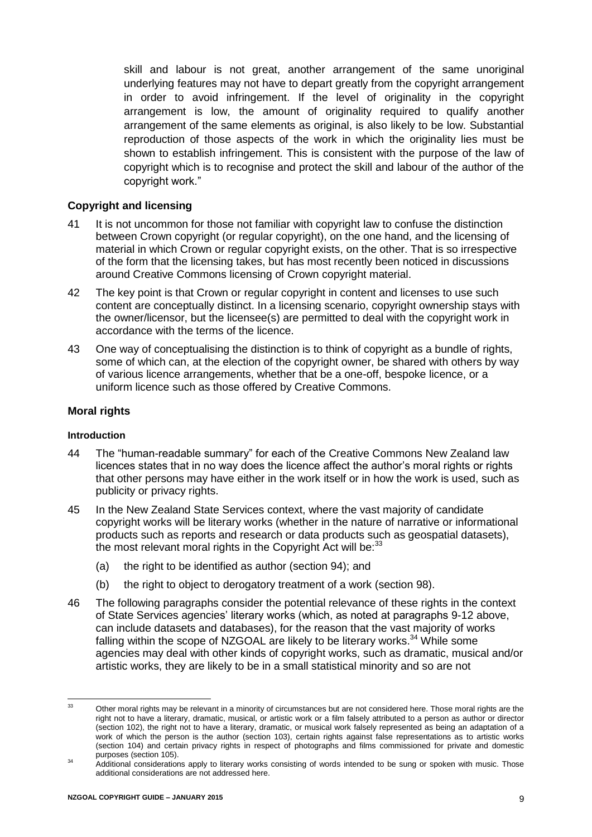skill and labour is not great, another arrangement of the same unoriginal underlying features may not have to depart greatly from the copyright arrangement in order to avoid infringement. If the level of originality in the copyright arrangement is low, the amount of originality required to qualify another arrangement of the same elements as original, is also likely to be low. Substantial reproduction of those aspects of the work in which the originality lies must be shown to establish infringement. This is consistent with the purpose of the law of copyright which is to recognise and protect the skill and labour of the author of the copyright work."

# <span id="page-10-0"></span>**Copyright and licensing**

- 41 It is not uncommon for those not familiar with copyright law to confuse the distinction between Crown copyright (or regular copyright), on the one hand, and the licensing of material in which Crown or regular copyright exists, on the other. That is so irrespective of the form that the licensing takes, but has most recently been noticed in discussions around Creative Commons licensing of Crown copyright material.
- 42 The key point is that Crown or regular copyright in content and licenses to use such content are conceptually distinct. In a licensing scenario, copyright ownership stays with the owner/licensor, but the licensee(s) are permitted to deal with the copyright work in accordance with the terms of the licence.
- 43 One way of conceptualising the distinction is to think of copyright as a bundle of rights, some of which can, at the election of the copyright owner, be shared with others by way of various licence arrangements, whether that be a one-off, bespoke licence, or a uniform licence such as those offered by Creative Commons.

# <span id="page-10-1"></span>**Moral rights**

#### <span id="page-10-2"></span>**Introduction**

- 44 The "human-readable summary" for each of the Creative Commons New Zealand law licences states that in no way does the licence affect the author's moral rights or rights that other persons may have either in the work itself or in how the work is used, such as publicity or privacy rights.
- 45 In the New Zealand State Services context, where the vast majority of candidate copyright works will be literary works (whether in the nature of narrative or informational products such as reports and research or data products such as geospatial datasets), the most relevant moral rights in the Copyright Act will be: $33$ 
	- (a) the right to be identified as author (section 94); and
	- (b) the right to object to derogatory treatment of a work (section 98).
- 46 The following paragraphs consider the potential relevance of these rights in the context of State Services agencies' literary works (which, as noted at paragraphs [9](#page-4-5)[-12](#page-5-2) above, can include datasets and databases), for the reason that the vast majority of works falling within the scope of NZGOAL are likely to be literary works.<sup>34</sup> While some agencies may deal with other kinds of copyright works, such as dramatic, musical and/or artistic works, they are likely to be in a small statistical minority and so are not

 $33$ Other moral rights may be relevant in a minority of circumstances but are not considered here. Those moral rights are the right not to have a literary, dramatic, musical, or artistic work or a film falsely attributed to a person as author or director (section 102), the right not to have a literary, dramatic, or musical work falsely represented as being an adaptation of a work of which the person is the author (section 103), certain rights against false representations as to artistic works (section 104) and certain privacy rights in respect of photographs and films commissioned for private and domestic purposes (section 105).

<sup>&</sup>lt;sup>34</sup> Additional considerations apply to literary works consisting of words intended to be sung or spoken with music. Those additional considerations are not addressed here.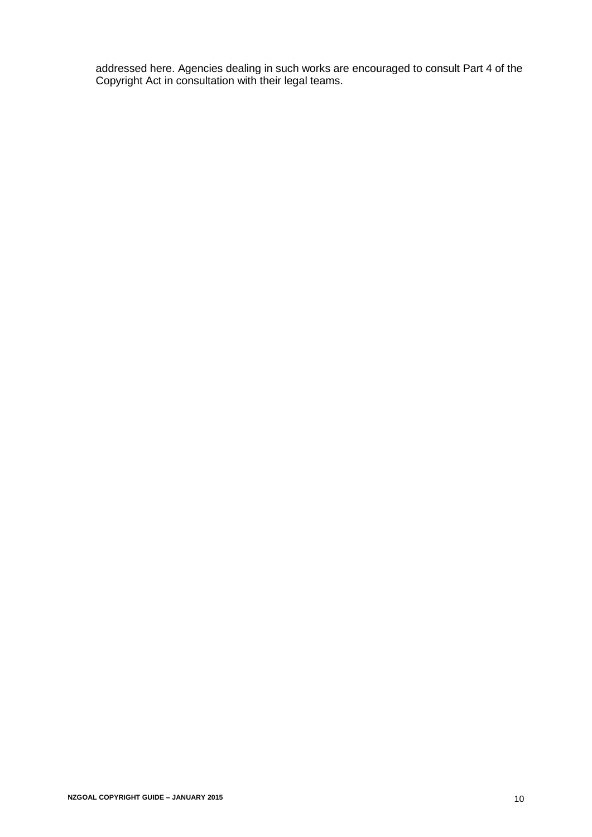<span id="page-11-0"></span>addressed here. Agencies dealing in such works are encouraged to consult Part 4 of the Copyright Act in consultation with their legal teams.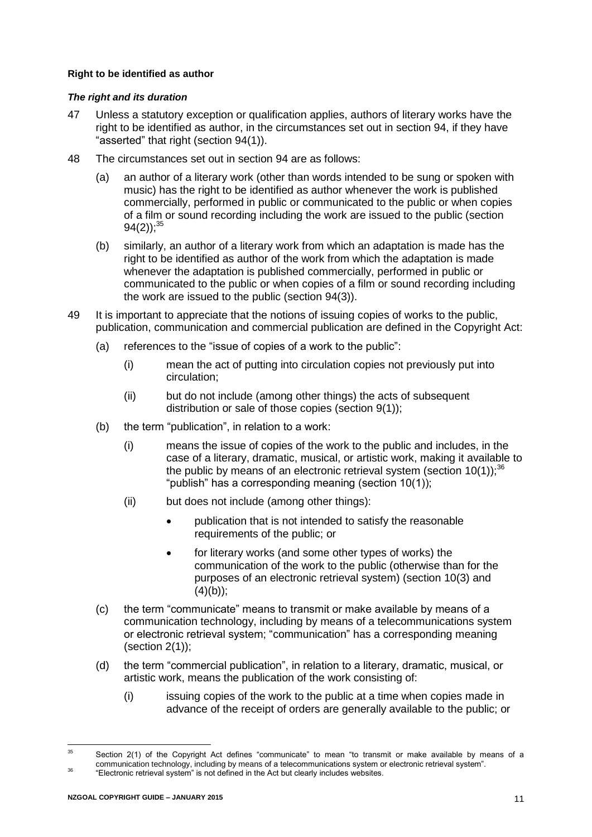# **Right to be identified as author**

# *The right and its duration*

- 47 Unless a statutory exception or qualification applies, authors of literary works have the right to be identified as author, in the circumstances set out in section 94, if they have "asserted" that right (section 94(1)).
- 48 The circumstances set out in section 94 are as follows:
	- (a) an author of a literary work (other than words intended to be sung or spoken with music) has the right to be identified as author whenever the work is published commercially, performed in public or communicated to the public or when copies of a film or sound recording including the work are issued to the public (section  $94(2)$ ;<sup>35</sup>
	- (b) similarly, an author of a literary work from which an adaptation is made has the right to be identified as author of the work from which the adaptation is made whenever the adaptation is published commercially, performed in public or communicated to the public or when copies of a film or sound recording including the work are issued to the public (section 94(3)).
- 49 It is important to appreciate that the notions of issuing copies of works to the public, publication, communication and commercial publication are defined in the Copyright Act:
	- (a) references to the "issue of copies of a work to the public":
		- (i) mean the act of putting into circulation copies not previously put into circulation;
		- (ii) but do not include (among other things) the acts of subsequent distribution or sale of those copies (section 9(1));
	- (b) the term "publication", in relation to a work:
		- (i) means the issue of copies of the work to the public and includes, in the case of a literary, dramatic, musical, or artistic work, making it available to the public by means of an electronic retrieval system (section  $10(1)$ );<sup>36</sup> "publish" has a corresponding meaning (section 10(1));
		- (ii) but does not include (among other things):
			- publication that is not intended to satisfy the reasonable requirements of the public; or
			- for literary works (and some other types of works) the communication of the work to the public (otherwise than for the purposes of an electronic retrieval system) (section 10(3) and  $(4)(b)$ ;
	- (c) the term "communicate" means to transmit or make available by means of a communication technology, including by means of a telecommunications system or electronic retrieval system; "communication" has a corresponding meaning (section  $2(1)$ );
	- (d) the term "commercial publication", in relation to a literary, dramatic, musical, or artistic work, means the publication of the work consisting of:
		- (i) issuing copies of the work to the public at a time when copies made in advance of the receipt of orders are generally available to the public; or

 $25$ Section 2(1) of the Copyright Act defines "communicate" to mean "to transmit or make available by means of a communication technology, including by means of a telecommunications system or electronic retrieval system". <sup>36</sup> "Electronic retrieval system" is not defined in the Act but clearly includes websites.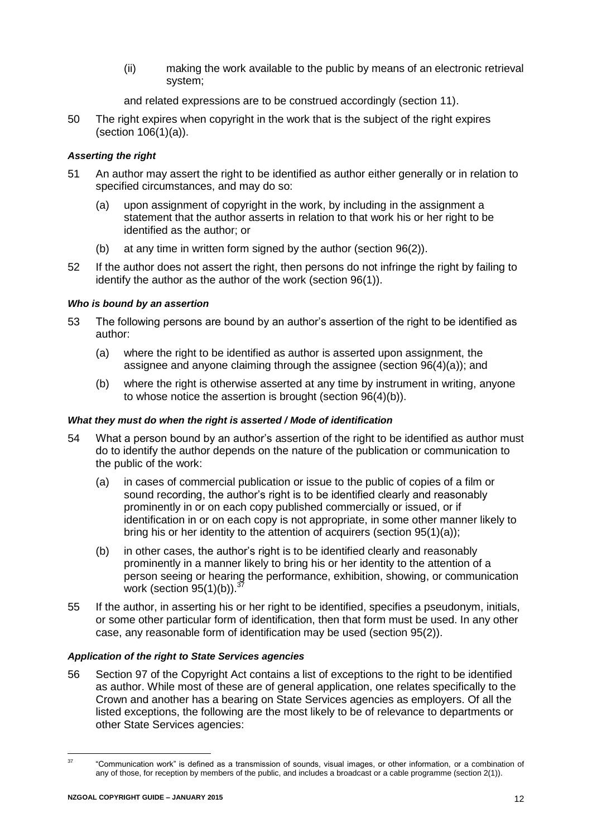(ii) making the work available to the public by means of an electronic retrieval system;

and related expressions are to be construed accordingly (section 11).

50 The right expires when copyright in the work that is the subject of the right expires (section 106(1)(a)).

# *Asserting the right*

- 51 An author may assert the right to be identified as author either generally or in relation to specified circumstances, and may do so:
	- (a) upon assignment of copyright in the work, by including in the assignment a statement that the author asserts in relation to that work his or her right to be identified as the author; or
	- (b) at any time in written form signed by the author (section 96(2)).
- 52 If the author does not assert the right, then persons do not infringe the right by failing to identify the author as the author of the work (section 96(1)).

# *Who is bound by an assertion*

- 53 The following persons are bound by an author's assertion of the right to be identified as author:
	- (a) where the right to be identified as author is asserted upon assignment, the assignee and anyone claiming through the assignee (section 96(4)(a)); and
	- (b) where the right is otherwise asserted at any time by instrument in writing, anyone to whose notice the assertion is brought (section 96(4)(b)).

# *What they must do when the right is asserted / Mode of identification*

- <span id="page-13-0"></span>54 What a person bound by an author's assertion of the right to be identified as author must do to identify the author depends on the nature of the publication or communication to the public of the work:
	- (a) in cases of commercial publication or issue to the public of copies of a film or sound recording, the author's right is to be identified clearly and reasonably prominently in or on each copy published commercially or issued, or if identification in or on each copy is not appropriate, in some other manner likely to bring his or her identity to the attention of acquirers (section 95(1)(a));
	- (b) in other cases, the author's right is to be identified clearly and reasonably prominently in a manner likely to bring his or her identity to the attention of a person seeing or hearing the performance, exhibition, showing, or communication work (section  $95(1)(b)$ ).
- <span id="page-13-1"></span>55 If the author, in asserting his or her right to be identified, specifies a pseudonym, initials, or some other particular form of identification, then that form must be used. In any other case, any reasonable form of identification may be used (section 95(2)).

# *Application of the right to State Services agencies*

56 Section 97 of the Copyright Act contains a list of exceptions to the right to be identified as author. While most of these are of general application, one relates specifically to the Crown and another has a bearing on State Services agencies as employers. Of all the listed exceptions, the following are the most likely to be of relevance to departments or other State Services agencies:

 $\overline{37}$ 

<sup>37</sup> "Communication work" is defined as a transmission of sounds, visual images, or other information, or a combination of any of those, for reception by members of the public, and includes a broadcast or a cable programme (section 2(1)).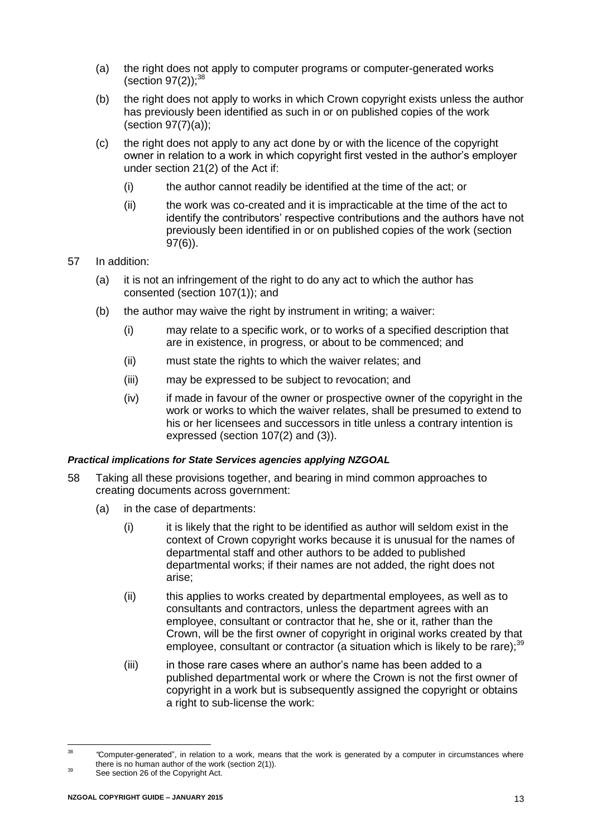- (a) the right does not apply to computer programs or computer-generated works (section  $97(2)$ ); $^{38}$
- (b) the right does not apply to works in which Crown copyright exists unless the author has previously been identified as such in or on published copies of the work (section 97(7)(a));
- (c) the right does not apply to any act done by or with the licence of the copyright owner in relation to a work in which copyright first vested in the author's employer under section 21(2) of the Act if:
	- (i) the author cannot readily be identified at the time of the act; or
	- (ii) the work was co-created and it is impracticable at the time of the act to identify the contributors' respective contributions and the authors have not previously been identified in or on published copies of the work (section 97(6)).
- 57 In addition:
	- (a) it is not an infringement of the right to do any act to which the author has consented (section 107(1)); and
	- (b) the author may waive the right by instrument in writing; a waiver:
		- (i) may relate to a specific work, or to works of a specified description that are in existence, in progress, or about to be commenced; and
		- (ii) must state the rights to which the waiver relates; and
		- (iii) may be expressed to be subject to revocation; and
		- (iv) if made in favour of the owner or prospective owner of the copyright in the work or works to which the waiver relates, shall be presumed to extend to his or her licensees and successors in title unless a contrary intention is expressed (section 107(2) and (3)).

# *Practical implications for State Services agencies applying NZGOAL*

- 58 Taking all these provisions together, and bearing in mind common approaches to creating documents across government:
	- (a) in the case of departments:
		- $(i)$  it is likely that the right to be identified as author will seldom exist in the context of Crown copyright works because it is unusual for the names of departmental staff and other authors to be added to published departmental works; if their names are not added, the right does not arise;
		- (ii) this applies to works created by departmental employees, as well as to consultants and contractors, unless the department agrees with an employee, consultant or contractor that he, she or it, rather than the Crown, will be the first owner of copyright in original works created by that employee, consultant or contractor (a situation which is likely to be rare);<sup>39</sup>
		- (iii) in those rare cases where an author's name has been added to a published departmental work or where the Crown is not the first owner of copyright in a work but is subsequently assigned the copyright or obtains a right to sub-license the work:

 $29$ <sup>38</sup> *"*Computer-generated", in relation to a work, means that the work is generated by a computer in circumstances where there is no human author of the work (section 2(1)).

See section 26 of the Copyright Act.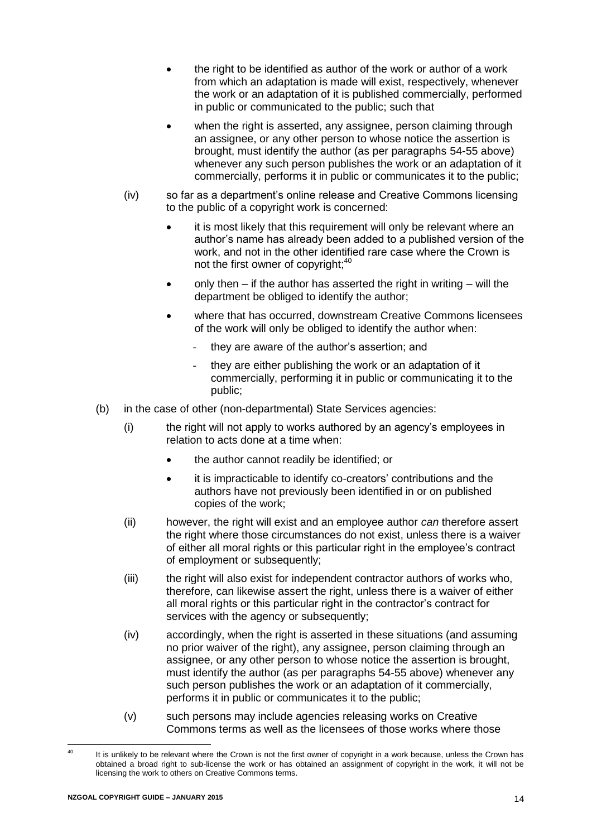- the right to be identified as author of the work or author of a work from which an adaptation is made will exist, respectively, whenever the work or an adaptation of it is published commercially, performed in public or communicated to the public; such that
- when the right is asserted, any assignee, person claiming through an assignee, or any other person to whose notice the assertion is brought, must identify the author (as per paragraphs [54](#page-13-0)[-55](#page-13-1) above) whenever any such person publishes the work or an adaptation of it commercially, performs it in public or communicates it to the public;
- (iv) so far as a department's online release and Creative Commons licensing to the public of a copyright work is concerned:
	- it is most likely that this requirement will only be relevant where an author's name has already been added to a published version of the work, and not in the other identified rare case where the Crown is not the first owner of copyright;<sup>40</sup>
	- only then if the author has asserted the right in writing will the department be obliged to identify the author;
	- where that has occurred, downstream Creative Commons licensees of the work will only be obliged to identify the author when:
		- they are aware of the author's assertion; and
		- they are either publishing the work or an adaptation of it commercially, performing it in public or communicating it to the public;
- (b) in the case of other (non-departmental) State Services agencies:
	- (i) the right will not apply to works authored by an agency's employees in relation to acts done at a time when:
		- the author cannot readily be identified; or
		- it is impracticable to identify co-creators' contributions and the authors have not previously been identified in or on published copies of the work;
	- (ii) however, the right will exist and an employee author *can* therefore assert the right where those circumstances do not exist, unless there is a waiver of either all moral rights or this particular right in the employee's contract of employment or subsequently;
	- (iii) the right will also exist for independent contractor authors of works who, therefore, can likewise assert the right, unless there is a waiver of either all moral rights or this particular right in the contractor's contract for services with the agency or subsequently:
	- (iv) accordingly, when the right is asserted in these situations (and assuming no prior waiver of the right), any assignee, person claiming through an assignee, or any other person to whose notice the assertion is brought, must identify the author (as per paragraphs [54](#page-13-0)[-55](#page-13-1) above) whenever any such person publishes the work or an adaptation of it commercially, performs it in public or communicates it to the public;
	- (v) such persons may include agencies releasing works on Creative Commons terms as well as the licensees of those works where those

 $\overline{40}$ It is unlikely to be relevant where the Crown is not the first owner of copyright in a work because, unless the Crown has obtained a broad right to sub-license the work or has obtained an assignment of copyright in the work, it will not be licensing the work to others on Creative Commons terms.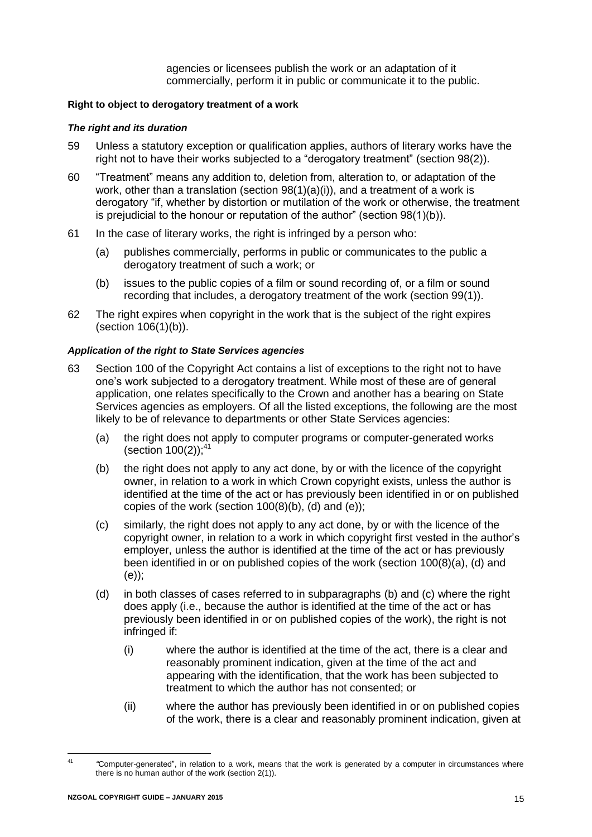agencies or licensees publish the work or an adaptation of it commercially, perform it in public or communicate it to the public.

#### <span id="page-16-0"></span>**Right to object to derogatory treatment of a work**

#### *The right and its duration*

- 59 Unless a statutory exception or qualification applies, authors of literary works have the right not to have their works subjected to a "derogatory treatment" (section 98(2)).
- 60 "Treatment" means any addition to, deletion from, alteration to, or adaptation of the work, other than a translation (section 98(1)(a)(i)), and a treatment of a work is derogatory "if, whether by distortion or mutilation of the work or otherwise, the treatment is prejudicial to the honour or reputation of the author" (section 98(1)(b)).
- 61 In the case of literary works, the right is infringed by a person who:
	- (a) publishes commercially, performs in public or communicates to the public a derogatory treatment of such a work; or
	- (b) issues to the public copies of a film or sound recording of, or a film or sound recording that includes, a derogatory treatment of the work (section 99(1)).
- 62 The right expires when copyright in the work that is the subject of the right expires (section 106(1)(b)).

#### *Application of the right to State Services agencies*

- <span id="page-16-2"></span><span id="page-16-1"></span>63 Section 100 of the Copyright Act contains a list of exceptions to the right not to have one's work subjected to a derogatory treatment. While most of these are of general application, one relates specifically to the Crown and another has a bearing on State Services agencies as employers. Of all the listed exceptions, the following are the most likely to be of relevance to departments or other State Services agencies:
	- (a) the right does not apply to computer programs or computer-generated works (section  $100(2)$ );<sup>41</sup>
	- (b) the right does not apply to any act done, by or with the licence of the copyright owner, in relation to a work in which Crown copyright exists, unless the author is identified at the time of the act or has previously been identified in or on published copies of the work (section 100(8)(b), (d) and (e));
	- (c) similarly, the right does not apply to any act done, by or with the licence of the copyright owner, in relation to a work in which copyright first vested in the author's employer, unless the author is identified at the time of the act or has previously been identified in or on published copies of the work (section 100(8)(a), (d) and (e));
	- (d) in both classes of cases referred to in subparagraphs [\(b\)](#page-16-1) and [\(c\)](#page-16-2) where the right does apply (i.e., because the author is identified at the time of the act or has previously been identified in or on published copies of the work), the right is not infringed if:
		- (i) where the author is identified at the time of the act, there is a clear and reasonably prominent indication, given at the time of the act and appearing with the identification, that the work has been subjected to treatment to which the author has not consented; or
		- (ii) where the author has previously been identified in or on published copies of the work, there is a clear and reasonably prominent indication, given at

 $41$ <sup>41</sup> *"*Computer-generated", in relation to a work, means that the work is generated by a computer in circumstances where there is no human author of the work (section 2(1)).